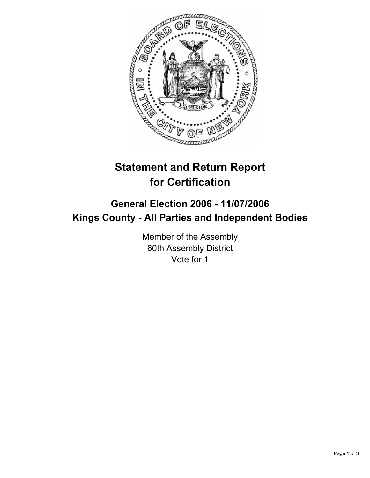

# **Statement and Return Report for Certification**

## **General Election 2006 - 11/07/2006 Kings County - All Parties and Independent Bodies**

Member of the Assembly 60th Assembly District Vote for 1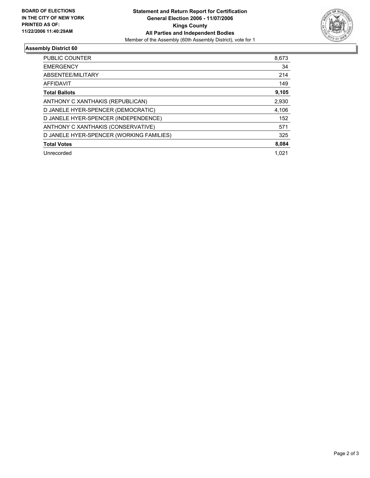

## **Assembly District 60**

| PUBLIC COUNTER                           | 8,673 |
|------------------------------------------|-------|
| <b>EMERGENCY</b>                         | 34    |
| ABSENTEE/MILITARY                        | 214   |
| AFFIDAVIT                                | 149   |
| <b>Total Ballots</b>                     | 9,105 |
| ANTHONY C XANTHAKIS (REPUBLICAN)         | 2,930 |
| D JANELE HYER-SPENCER (DEMOCRATIC)       | 4,106 |
| D JANELE HYER-SPENCER (INDEPENDENCE)     | 152   |
| ANTHONY C XANTHAKIS (CONSERVATIVE)       | 571   |
| D JANELE HYER-SPENCER (WORKING FAMILIES) | 325   |
| <b>Total Votes</b>                       | 8,084 |
| Unrecorded                               | 1.021 |